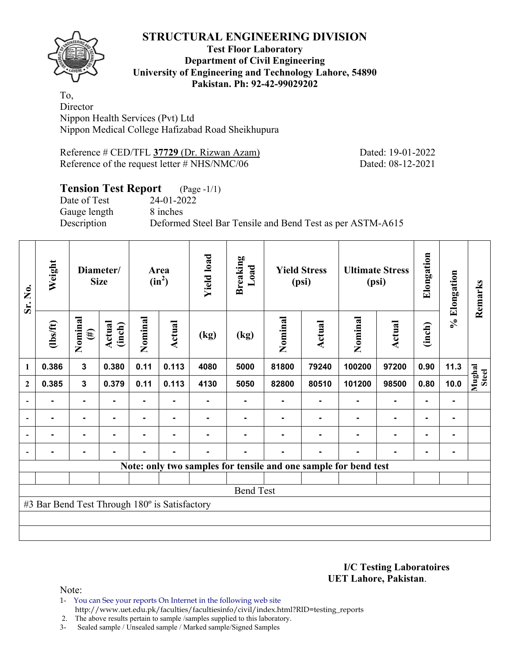**Test Floor Laboratory Department of Civil Engineering University of Engineering and Technology Lahore, 54890 Pakistan. Ph: 92-42-99029202** 

To, **Director** Nippon Health Services (Pvt) Ltd Nippon Medical College Hafizabad Road Sheikhupura

Reference # CED/TFL **37729** (Dr. Rizwan Azam) Dated: 19-01-2022 Reference of the request letter # NHS/NMC/06 Dated: 08-12-2021

## **Tension Test Report** (Page -1/1)

Date of Test 24-01-2022 Gauge length 8 inches

Description Deformed Steel Bar Tensile and Bend Test as per ASTM-A615

| Sr. No.                  | Weight                                        |                   | Diameter/<br><b>Size</b> |                | Area<br>$(in^2)$ | <b>Yield load</b> | <b>Breaking</b><br>Load |         | <b>Yield Stress</b><br>(psi) |                                                                 | <b>Ultimate Stress</b><br>(psi) | Elongation     | % Elongation | Remarks         |
|--------------------------|-----------------------------------------------|-------------------|--------------------------|----------------|------------------|-------------------|-------------------------|---------|------------------------------|-----------------------------------------------------------------|---------------------------------|----------------|--------------|-----------------|
|                          | $\frac{2}{10}$                                | Nominal<br>$(\#)$ | Actual<br>(inch)         | Nominal        | Actual           | (kg)              | (kg)                    | Nominal | Actual                       | Nominal                                                         | Actual                          | (inch)         |              |                 |
| 1                        | 0.386                                         | 3                 | 0.380                    | 0.11           | 0.113            | 4080              | 5000                    | 81800   | 79240                        | 100200                                                          | 97200                           | 0.90           | 11.3         |                 |
| $\mathbf{2}$             | 0.385                                         | $\mathbf{3}$      | 0.379                    | 0.11           | 0.113            | 4130              | 5050                    | 82800   | 80510                        | 101200                                                          | 98500                           | 0.80           | 10.0         | Mughal<br>Steel |
| $\overline{\phantom{0}}$ |                                               | ۰                 |                          |                |                  |                   |                         |         |                              |                                                                 |                                 |                |              |                 |
| $\overline{\phantom{a}}$ | ۰                                             | $\blacksquare$    | $\blacksquare$           |                |                  |                   |                         |         |                              |                                                                 | ۰                               | $\blacksquare$ |              |                 |
| $\overline{\phantom{a}}$ |                                               | ۰                 |                          | $\blacksquare$ |                  |                   |                         |         |                              |                                                                 | $\blacksquare$                  | $\blacksquare$ |              |                 |
| $\overline{\phantom{a}}$ | -                                             | $\blacksquare$    | $\blacksquare$           | ۰              | $\blacksquare$   | ۰                 |                         |         | ۰                            |                                                                 | ۰                               | ۰              |              |                 |
|                          |                                               |                   |                          |                |                  |                   |                         |         |                              | Note: only two samples for tensile and one sample for bend test |                                 |                |              |                 |
|                          |                                               |                   |                          |                |                  |                   |                         |         |                              |                                                                 |                                 |                |              |                 |
|                          |                                               |                   |                          |                |                  |                   | <b>Bend Test</b>        |         |                              |                                                                 |                                 |                |              |                 |
|                          | #3 Bar Bend Test Through 180° is Satisfactory |                   |                          |                |                  |                   |                         |         |                              |                                                                 |                                 |                |              |                 |
|                          |                                               |                   |                          |                |                  |                   |                         |         |                              |                                                                 |                                 |                |              |                 |
|                          |                                               |                   |                          |                |                  |                   |                         |         |                              |                                                                 |                                 |                |              |                 |

**I/C Testing Laboratoires UET Lahore, Pakistan**.

Note:

1- You can See your reports On Internet in the following web site http://www.uet.edu.pk/faculties/facultiesinfo/civil/index.html?RID=testing\_reports

2. The above results pertain to sample /samples supplied to this laboratory.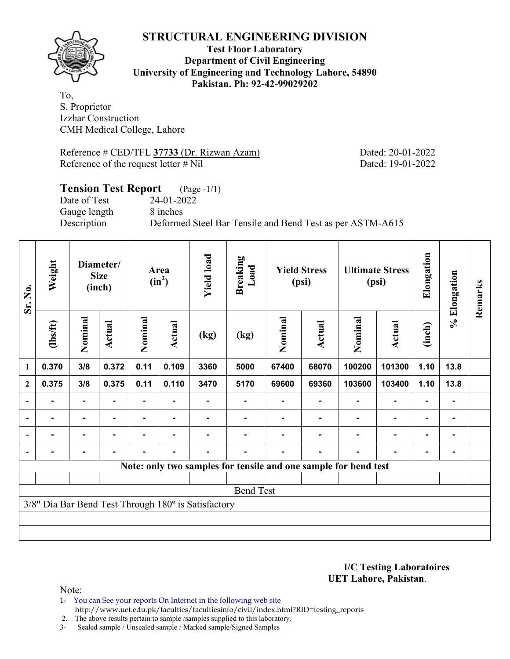

**Test Floor Laboratory Department of Civil Engineering University of Engineering and Technology Lahore, 54890 Pakistan. Ph: 92-42-99029202** 

To, S. Proprietor Izzhar Construction CMH Medical College, Lahore

Reference # CED/TFL **37733** (Dr. Rizwan Azam) Dated: 20-01-2022 Reference of the request letter # Nil Dated: 19-01-2022

## **Tension Test Report** (Page -1/1) Date of Test 24-01-2022 Gauge length 8 inches Description Deformed Steel Bar Tensile and Bend Test as per ASTM-A615

| Sr. No.                  | Weight           |                | Diameter/<br><b>Size</b><br>(inch) |         | Area<br>$(in^2)$ | <b>Yield load</b>                                   | <b>Breaking</b><br>Load |         | <b>Yield Stress</b><br>(psi) |                                                                 | <b>Ultimate Stress</b><br>(psi) | Elongation     | % Elongation   | Remarks |
|--------------------------|------------------|----------------|------------------------------------|---------|------------------|-----------------------------------------------------|-------------------------|---------|------------------------------|-----------------------------------------------------------------|---------------------------------|----------------|----------------|---------|
|                          | $\frac{2}{10}$   | Nominal        | Actual                             | Nominal | <b>Actual</b>    | (kg)                                                | (kg)                    | Nominal | Actual                       | Nominal                                                         | Actual                          | (inch)         |                |         |
| $\mathbf{1}$             | 0.370            | 3/8            | 0.372                              | 0.11    | 0.109            | 3360                                                | 5000                    | 67400   | 68070                        | 100200                                                          | 101300                          | 1.10           | 13.8           |         |
| $\overline{2}$           | 0.375            | 3/8            | 0.375                              | 0.11    | 0.110            | 3470                                                | 5170                    | 69600   | 69360                        | 103600                                                          | 103400                          | 1.10           | 13.8           |         |
| $\overline{\phantom{a}}$ |                  | ۰              |                                    |         |                  |                                                     |                         |         |                              |                                                                 |                                 |                |                |         |
| $\overline{\phantom{a}}$ | -                | $\blacksquare$ | ۰.                                 |         |                  |                                                     |                         |         |                              |                                                                 | $\blacksquare$                  | $\blacksquare$ |                |         |
| $\overline{\phantom{a}}$ |                  | $\blacksquare$ | $\blacksquare$                     | ۰       | $\blacksquare$   |                                                     |                         |         |                              | ۰                                                               | $\blacksquare$                  | $\blacksquare$ | $\blacksquare$ |         |
|                          |                  | $\blacksquare$ |                                    |         | ٠                |                                                     |                         |         |                              |                                                                 | $\blacksquare$                  | $\blacksquare$ |                |         |
|                          |                  |                |                                    |         |                  |                                                     |                         |         |                              | Note: only two samples for tensile and one sample for bend test |                                 |                |                |         |
|                          |                  |                |                                    |         |                  |                                                     |                         |         |                              |                                                                 |                                 |                |                |         |
|                          | <b>Bend Test</b> |                |                                    |         |                  |                                                     |                         |         |                              |                                                                 |                                 |                |                |         |
|                          |                  |                |                                    |         |                  | 3/8" Dia Bar Bend Test Through 180° is Satisfactory |                         |         |                              |                                                                 |                                 |                |                |         |
|                          |                  |                |                                    |         |                  |                                                     |                         |         |                              |                                                                 |                                 |                |                |         |
|                          |                  |                |                                    |         |                  |                                                     |                         |         |                              |                                                                 |                                 |                |                |         |

**I/C Testing Laboratoires UET Lahore, Pakistan**.

Note:

1- You can See your reports On Internet in the following web site http://www.uet.edu.pk/faculties/facultiesinfo/civil/index.html?RID=testing\_reports

2. The above results pertain to sample /samples supplied to this laboratory.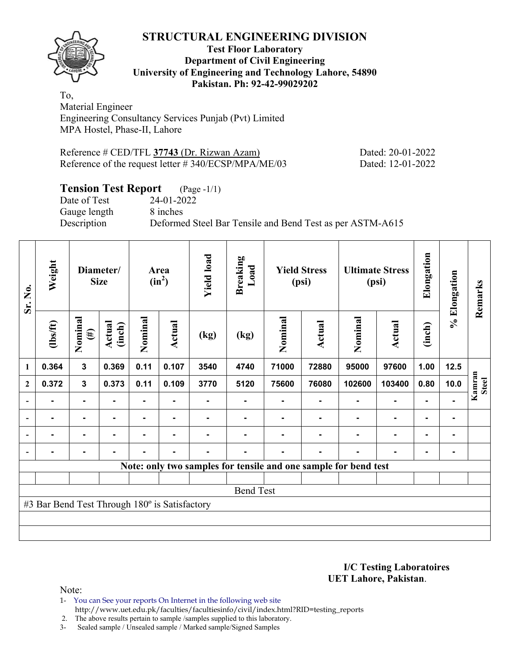**Test Floor Laboratory Department of Civil Engineering University of Engineering and Technology Lahore, 54890 Pakistan. Ph: 92-42-99029202** 

To, Material Engineer Engineering Consultancy Services Punjab (Pvt) Limited MPA Hostel, Phase-II, Lahore

Reference # CED/TFL **37743** (Dr. Rizwan Azam) Dated: 20-01-2022 Reference of the request letter # 340/ECSP/MPA/ME/03 Dated: 12-01-2022

## **Tension Test Report** (Page -1/1)

Date of Test 24-01-2022 Gauge length 8 inches

Description Deformed Steel Bar Tensile and Bend Test as per ASTM-A615

| Sr. No.                  | Weight                                        |                   | Diameter/<br><b>Size</b> |                | Area<br>$(in^2)$ | <b>Yield load</b> | <b>Breaking</b><br>Load |         | <b>Yield Stress</b><br>(psi) |                                                                 | <b>Ultimate Stress</b><br>(psi) | Elongation     | % Elongation | Remarks                |
|--------------------------|-----------------------------------------------|-------------------|--------------------------|----------------|------------------|-------------------|-------------------------|---------|------------------------------|-----------------------------------------------------------------|---------------------------------|----------------|--------------|------------------------|
|                          | $\frac{2}{10}$                                | Nominal<br>$(\#)$ | Actual<br>(inch)         | Nominal        | <b>Actual</b>    | (kg)              | (kg)                    | Nominal | Actual                       | Nominal                                                         | Actual                          | (inch)         |              |                        |
| 1                        | 0.364                                         | $\mathbf{3}$      | 0.369                    | 0.11           | 0.107            | 3540              | 4740                    | 71000   | 72880                        | 95000                                                           | 97600                           | 1.00           | 12.5         |                        |
| $\mathbf{2}$             | 0.372                                         | $\mathbf{3}$      | 0.373                    | 0.11           | 0.109            | 3770              | 5120                    | 75600   | 76080                        | 102600                                                          | 103400                          | 0.80           | 10.0         | Kamran<br><b>Steel</b> |
| $\overline{\phantom{a}}$ |                                               | ۰                 |                          |                |                  |                   |                         |         |                              |                                                                 |                                 |                |              |                        |
| $\overline{\phantom{a}}$ | -                                             | ۰                 | $\blacksquare$           |                |                  |                   |                         |         |                              |                                                                 | $\blacksquare$                  | $\blacksquare$ |              |                        |
| $\overline{\phantom{a}}$ | Ξ.                                            | $\blacksquare$    | $\blacksquare$           | ٠              | ۰                |                   |                         |         |                              |                                                                 | ٠                               | $\blacksquare$ |              |                        |
| $\blacksquare$           |                                               | ٠                 | $\blacksquare$           | $\blacksquare$ | ٠                |                   |                         |         | ٠                            |                                                                 | $\blacksquare$                  | $\blacksquare$ |              |                        |
|                          |                                               |                   |                          |                |                  |                   |                         |         |                              | Note: only two samples for tensile and one sample for bend test |                                 |                |              |                        |
|                          |                                               |                   |                          |                |                  |                   |                         |         |                              |                                                                 |                                 |                |              |                        |
|                          | <b>Bend Test</b>                              |                   |                          |                |                  |                   |                         |         |                              |                                                                 |                                 |                |              |                        |
|                          | #3 Bar Bend Test Through 180° is Satisfactory |                   |                          |                |                  |                   |                         |         |                              |                                                                 |                                 |                |              |                        |
|                          |                                               |                   |                          |                |                  |                   |                         |         |                              |                                                                 |                                 |                |              |                        |
|                          |                                               |                   |                          |                |                  |                   |                         |         |                              |                                                                 |                                 |                |              |                        |

**I/C Testing Laboratoires UET Lahore, Pakistan**.

Note:

1- You can See your reports On Internet in the following web site http://www.uet.edu.pk/faculties/facultiesinfo/civil/index.html?RID=testing\_reports

2. The above results pertain to sample /samples supplied to this laboratory.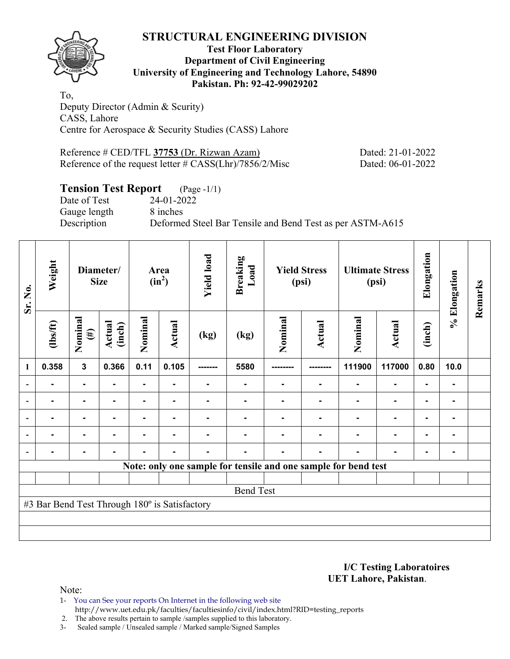

### **Test Floor Laboratory Department of Civil Engineering University of Engineering and Technology Lahore, 54890 Pakistan. Ph: 92-42-99029202**

To, Deputy Director (Admin & Scurity) CASS, Lahore Centre for Aerospace & Security Studies (CASS) Lahore

Reference # CED/TFL **37753** (Dr. Rizwan Azam) Dated: 21-01-2022 Reference of the request letter # CASS(Lhr)/7856/2/Misc Dated: 06-01-2022

## **Tension Test Report** (Page -1/1)

Date of Test 24-01-2022 Gauge length 8 inches

Description Deformed Steel Bar Tensile and Bend Test as per ASTM-A615

| Sr. No.                  | Weight                                        |                   | Diameter/<br><b>Size</b> |         | Area<br>$(in^2)$ | <b>Yield load</b> | <b>Breaking</b><br>Load                                        |         | <b>Yield Stress</b><br>(psi) |         | <b>Ultimate Stress</b><br>(psi) | Elongation     | % Elongation | Remarks |
|--------------------------|-----------------------------------------------|-------------------|--------------------------|---------|------------------|-------------------|----------------------------------------------------------------|---------|------------------------------|---------|---------------------------------|----------------|--------------|---------|
|                          | $\frac{2}{10}$                                | Nominal<br>$(\#)$ | Actual<br>(inch)         | Nominal | Actual           | (kg)              | (kg)                                                           | Nominal | Actual                       | Nominal | <b>Actual</b>                   | (inch)         |              |         |
| 1                        | 0.358                                         | 3                 | 0.366                    | 0.11    | 0.105            |                   | 5580                                                           |         |                              | 111900  | 117000                          | 0.80           | 10.0         |         |
| $\overline{\phantom{a}}$ | Ξ.                                            | ۰                 |                          | ۰       |                  |                   | ۰                                                              |         |                              |         | ۰                               | $\blacksquare$ |              |         |
| $\overline{\phantom{a}}$ |                                               | Ξ.                |                          |         |                  |                   |                                                                |         |                              |         | ٠                               | ٠              |              |         |
| $\overline{\phantom{a}}$ |                                               | ٠.                |                          |         |                  |                   |                                                                |         |                              |         |                                 | $\blacksquare$ |              |         |
| $\overline{\phantom{a}}$ | Ξ.                                            | ٠.                |                          |         | $\blacksquare$   |                   |                                                                |         |                              |         | ٠                               | $\blacksquare$ |              |         |
| $\overline{\phantom{a}}$ | $\blacksquare$                                | -                 |                          |         | ٠                |                   |                                                                |         |                              |         | $\blacksquare$                  | ٠              |              |         |
|                          |                                               |                   |                          |         |                  |                   | Note: only one sample for tensile and one sample for bend test |         |                              |         |                                 |                |              |         |
|                          |                                               |                   |                          |         |                  |                   |                                                                |         |                              |         |                                 |                |              |         |
|                          | <b>Bend Test</b>                              |                   |                          |         |                  |                   |                                                                |         |                              |         |                                 |                |              |         |
|                          | #3 Bar Bend Test Through 180° is Satisfactory |                   |                          |         |                  |                   |                                                                |         |                              |         |                                 |                |              |         |
|                          |                                               |                   |                          |         |                  |                   |                                                                |         |                              |         |                                 |                |              |         |
|                          |                                               |                   |                          |         |                  |                   |                                                                |         |                              |         |                                 |                |              |         |

**I/C Testing Laboratoires UET Lahore, Pakistan**.

Note:

1- You can See your reports On Internet in the following web site http://www.uet.edu.pk/faculties/facultiesinfo/civil/index.html?RID=testing\_reports

2. The above results pertain to sample /samples supplied to this laboratory.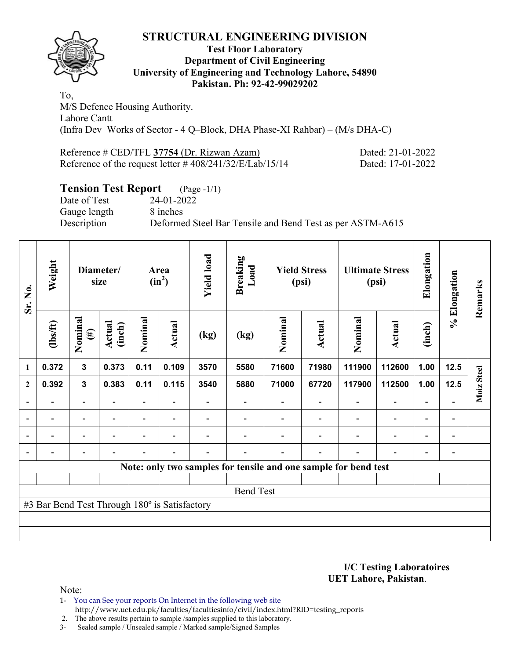

### **Test Floor Laboratory Department of Civil Engineering University of Engineering and Technology Lahore, 54890 Pakistan. Ph: 92-42-99029202**

To, M/S Defence Housing Authority. Lahore Cantt (Infra Dev Works of Sector - 4 Q–Block, DHA Phase-XI Rahbar) – (M/s DHA-C)

Reference # CED/TFL 37754 (Dr. Rizwan Azam) Dated: 21-01-2022 Reference of the request letter # 408/241/32/E/Lab/15/14 Dated: 17-01-2022

## **Tension Test Report** (Page -1/1)

Date of Test 24-01-2022 Gauge length 8 inches

Description Deformed Steel Bar Tensile and Bend Test as per ASTM-A615

| Sr. No.      | Weight                                        |                          | Diameter/<br>size |         | Area<br>$(in^2)$         | <b>Yield load</b> | <b>Breaking</b><br>Load |         | <b>Yield Stress</b><br>(psi) |                                                                 | <b>Ultimate Stress</b><br>(psi) | Elongation               | % Elongation             | Remarks    |
|--------------|-----------------------------------------------|--------------------------|-------------------|---------|--------------------------|-------------------|-------------------------|---------|------------------------------|-----------------------------------------------------------------|---------------------------------|--------------------------|--------------------------|------------|
|              | $\frac{2}{10}$                                | Nominal<br>$(\#)$        | Actual<br>(inch)  | Nominal | Actual                   | (kg)              | (kg)                    | Nominal | <b>Actual</b>                | Nominal                                                         | <b>Actual</b>                   | (inch)                   |                          |            |
| 1            | 0.372                                         | $\mathbf{3}$             | 0.373             | 0.11    | 0.109                    | 3570              | 5580                    | 71600   | 71980                        | 111900                                                          | 112600                          | 1.00                     | 12.5                     |            |
| $\mathbf{2}$ | 0.392                                         | $\mathbf{3}$             | 0.383             | 0.11    | 0.115                    | 3540              | 5880                    | 71000   | 67720                        | 117900                                                          | 112500                          | 1.00                     | 12.5                     | Moiz Steel |
|              |                                               | $\overline{a}$           |                   |         |                          |                   |                         |         |                              |                                                                 | $\overline{\phantom{0}}$        | Ξ.                       |                          |            |
|              | $\overline{\phantom{0}}$                      | $\overline{\phantom{a}}$ | $\blacksquare$    |         | $\blacksquare$           |                   |                         |         |                              | $\overline{\phantom{0}}$                                        | $\overline{\phantom{a}}$        | -                        | $\overline{\phantom{a}}$ |            |
|              | $\overline{\phantom{0}}$                      | $\overline{\phantom{a}}$ |                   |         | $\blacksquare$           |                   |                         |         |                              | $\overline{\phantom{0}}$                                        | $\overline{\phantom{a}}$        | $\overline{\phantom{0}}$ | $\overline{\phantom{a}}$ |            |
|              | $\overline{\phantom{0}}$                      | $\overline{\phantom{0}}$ |                   |         | $\overline{\phantom{a}}$ | -                 |                         |         | $\overline{\phantom{0}}$     | $\overline{\phantom{0}}$                                        | $\overline{\phantom{a}}$        | $\overline{\phantom{a}}$ | $\overline{\phantom{a}}$ |            |
|              |                                               |                          |                   |         |                          |                   |                         |         |                              | Note: only two samples for tensile and one sample for bend test |                                 |                          |                          |            |
|              |                                               |                          |                   |         |                          |                   |                         |         |                              |                                                                 |                                 |                          |                          |            |
|              |                                               |                          |                   |         |                          |                   | <b>Bend Test</b>        |         |                              |                                                                 |                                 |                          |                          |            |
|              | #3 Bar Bend Test Through 180° is Satisfactory |                          |                   |         |                          |                   |                         |         |                              |                                                                 |                                 |                          |                          |            |
|              |                                               |                          |                   |         |                          |                   |                         |         |                              |                                                                 |                                 |                          |                          |            |
|              |                                               |                          |                   |         |                          |                   |                         |         |                              |                                                                 |                                 |                          |                          |            |

**I/C Testing Laboratoires UET Lahore, Pakistan**.

Note:

1- You can See your reports On Internet in the following web site http://www.uet.edu.pk/faculties/facultiesinfo/civil/index.html?RID=testing\_reports

2. The above results pertain to sample /samples supplied to this laboratory.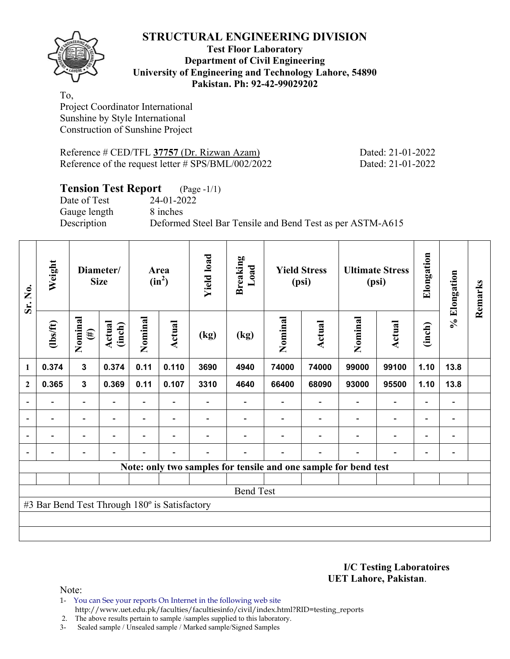

### **Test Floor Laboratory Department of Civil Engineering University of Engineering and Technology Lahore, 54890 Pakistan. Ph: 92-42-99029202**

To, Project Coordinator International Sunshine by Style International Construction of Sunshine Project

Reference # CED/TFL **37757** (Dr. Rizwan Azam) Dated: 21-01-2022 Reference of the request letter # SPS/BML/002/2022 Dated: 21-01-2022

## **Tension Test Report** (Page -1/1)

Date of Test 24-01-2022 Gauge length 8 inches

Description Deformed Steel Bar Tensile and Bend Test as per ASTM-A615

| Sr. No.        | Weight                                        |                          | Diameter/<br><b>Size</b> |                | Area<br>$(in^2)$         | <b>Yield load</b> | <b>Breaking</b><br>Load                                         |         | <b>Yield Stress</b><br>(psi) |                          | <b>Ultimate Stress</b><br>(psi) | Elongation               | % Elongation             | Remarks |
|----------------|-----------------------------------------------|--------------------------|--------------------------|----------------|--------------------------|-------------------|-----------------------------------------------------------------|---------|------------------------------|--------------------------|---------------------------------|--------------------------|--------------------------|---------|
|                | $\frac{2}{10}$                                | Nominal<br>$(\#)$        | <b>Actual</b><br>(inch)  | Nominal        | Actual                   | (kg)              | (kg)                                                            | Nominal | Actual                       | Nominal                  | <b>Actual</b>                   | (inch)                   |                          |         |
| 1              | 0.374                                         | $\mathbf{3}$             | 0.374                    | 0.11           | 0.110                    | 3690              | 4940                                                            | 74000   | 74000                        | 99000                    | 99100                           | 1.10                     | 13.8                     |         |
| $\mathbf{2}$   | 0.365                                         | $\mathbf{3}$             | 0.369                    | 0.11           | 0.107                    | 3310              | 4640                                                            | 66400   | 68090                        | 93000                    | 95500                           | 1.10                     | 13.8                     |         |
|                |                                               | $\overline{\phantom{0}}$ |                          |                |                          |                   |                                                                 |         |                              |                          | $\overline{\phantom{0}}$        | $\overline{\phantom{a}}$ | $\overline{a}$           |         |
|                | $\blacksquare$                                | $\blacksquare$           |                          |                | $\blacksquare$           |                   |                                                                 |         |                              |                          | $\overline{\phantom{a}}$        | -                        | -                        |         |
| $\blacksquare$ | $\overline{\phantom{0}}$                      | $\overline{\phantom{a}}$ | $\blacksquare$           | $\blacksquare$ | $\overline{\phantom{a}}$ |                   |                                                                 |         | $\blacksquare$               | $\overline{\phantom{0}}$ | $\overline{\phantom{a}}$        | $\overline{\phantom{a}}$ | $\blacksquare$           |         |
|                | $\overline{\phantom{0}}$                      | $\overline{\phantom{a}}$ |                          |                | $\overline{\phantom{0}}$ |                   |                                                                 |         | $\overline{\phantom{0}}$     | $\overline{\phantom{0}}$ | $\overline{\phantom{a}}$        | $\overline{\phantom{a}}$ | $\overline{\phantom{a}}$ |         |
|                |                                               |                          |                          |                |                          |                   | Note: only two samples for tensile and one sample for bend test |         |                              |                          |                                 |                          |                          |         |
|                |                                               |                          |                          |                |                          |                   |                                                                 |         |                              |                          |                                 |                          |                          |         |
|                |                                               |                          |                          |                |                          |                   | <b>Bend Test</b>                                                |         |                              |                          |                                 |                          |                          |         |
|                | #3 Bar Bend Test Through 180° is Satisfactory |                          |                          |                |                          |                   |                                                                 |         |                              |                          |                                 |                          |                          |         |
|                |                                               |                          |                          |                |                          |                   |                                                                 |         |                              |                          |                                 |                          |                          |         |
|                |                                               |                          |                          |                |                          |                   |                                                                 |         |                              |                          |                                 |                          |                          |         |

**I/C Testing Laboratoires UET Lahore, Pakistan**.

Note:

1- You can See your reports On Internet in the following web site http://www.uet.edu.pk/faculties/facultiesinfo/civil/index.html?RID=testing\_reports

2. The above results pertain to sample /samples supplied to this laboratory.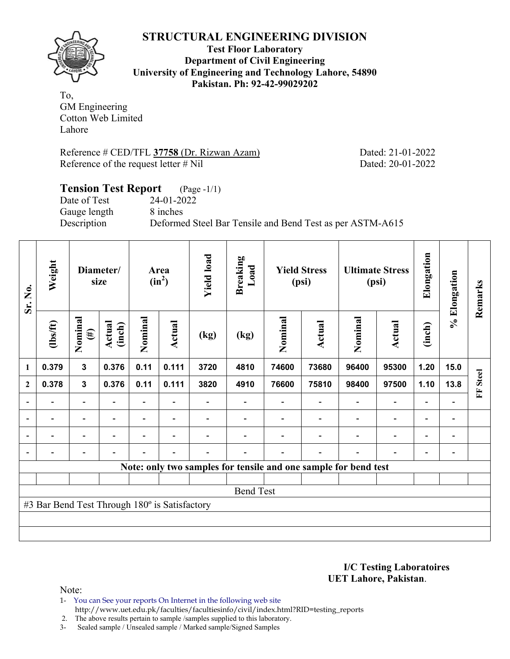**Test Floor Laboratory Department of Civil Engineering University of Engineering and Technology Lahore, 54890 Pakistan. Ph: 92-42-99029202** 

To, GM Engineering Cotton Web Limited Lahore

Reference # CED/TFL 37758 (Dr. Rizwan Azam) Dated: 21-01-2022 Reference of the request letter # Nil Dated: 20-01-2022

## **Tension Test Report** (Page -1/1) Date of Test 24-01-2022 Gauge length 8 inches Description Deformed Steel Bar Tensile and Bend Test as per ASTM-A615

| Sr. No.        | Weight                                        |                          | Diameter/<br>size |         | Area<br>$(in^2)$         | <b>Yield load</b> | <b>Breaking</b><br>Load                                         |         | <b>Yield Stress</b><br>(psi) |                              | <b>Ultimate Stress</b><br>(psi) | Elongation     | % Elongation   | Remarks           |
|----------------|-----------------------------------------------|--------------------------|-------------------|---------|--------------------------|-------------------|-----------------------------------------------------------------|---------|------------------------------|------------------------------|---------------------------------|----------------|----------------|-------------------|
|                | $lbsft$                                       | Nominal<br>$(\#)$        | Actual<br>(inch)  | Nominal | Actual                   | (kg)              | (kg)                                                            | Nominal | Actual                       | Nominal                      | Actual                          | (inch)         |                |                   |
| 1              | 0.379                                         | $\mathbf{3}$             | 0.376             | 0.11    | 0.111                    | 3720              | 4810                                                            | 74600   | 73680                        | 96400                        | 95300                           | 1.20           | 15.0           |                   |
| $\mathbf{2}$   | 0.378                                         | $\mathbf{3}$             | 0.376             | 0.11    | 0.111                    | 3820              | 4910                                                            | 76600   | 75810                        | 98400                        | 97500                           | 1.10           | 13.8           | <b>Steel</b><br>Ě |
|                |                                               | $\overline{\phantom{a}}$ |                   | Ξ.      |                          |                   |                                                                 |         |                              | $\qquad \qquad \blacksquare$ | $\overline{a}$                  | -              |                |                   |
| $\overline{a}$ |                                               | $\overline{\phantom{0}}$ |                   |         |                          |                   |                                                                 |         |                              |                              | $\overline{\phantom{0}}$        | -              |                |                   |
| $\blacksquare$ | $\blacksquare$                                | $\overline{\phantom{a}}$ | $\blacksquare$    |         | $\blacksquare$           |                   |                                                                 |         |                              | ۰                            | $\blacksquare$                  | $\blacksquare$ | $\blacksquare$ |                   |
|                |                                               | $\overline{a}$           |                   |         | $\overline{\phantom{a}}$ |                   |                                                                 |         |                              | $\blacksquare$               | $\overline{a}$                  | -              |                |                   |
|                |                                               |                          |                   |         |                          |                   | Note: only two samples for tensile and one sample for bend test |         |                              |                              |                                 |                |                |                   |
|                |                                               |                          |                   |         |                          |                   |                                                                 |         |                              |                              |                                 |                |                |                   |
|                | <b>Bend Test</b>                              |                          |                   |         |                          |                   |                                                                 |         |                              |                              |                                 |                |                |                   |
|                | #3 Bar Bend Test Through 180° is Satisfactory |                          |                   |         |                          |                   |                                                                 |         |                              |                              |                                 |                |                |                   |
|                |                                               |                          |                   |         |                          |                   |                                                                 |         |                              |                              |                                 |                |                |                   |
|                |                                               |                          |                   |         |                          |                   |                                                                 |         |                              |                              |                                 |                |                |                   |

**I/C Testing Laboratoires UET Lahore, Pakistan**.

Note:

- 1- You can See your reports On Internet in the following web site http://www.uet.edu.pk/faculties/facultiesinfo/civil/index.html?RID=testing\_reports
- 2. The above results pertain to sample /samples supplied to this laboratory.
- 3- Sealed sample / Unsealed sample / Marked sample/Signed Samples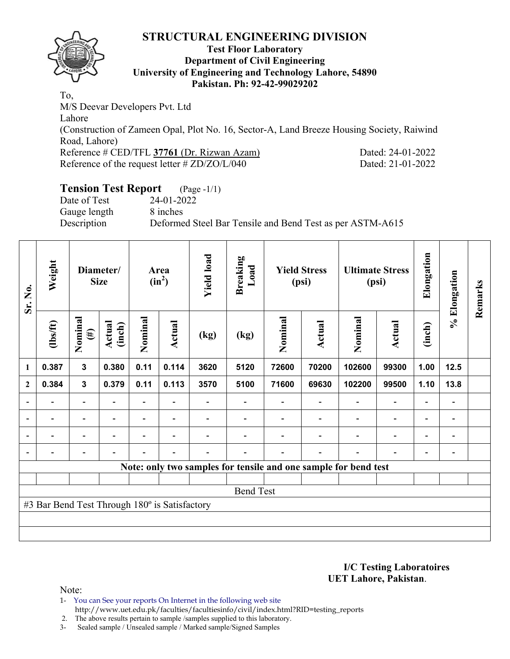

### **Test Floor Laboratory Department of Civil Engineering University of Engineering and Technology Lahore, 54890 Pakistan. Ph: 92-42-99029202**

To, M/S Deevar Developers Pvt. Ltd Lahore (Construction of Zameen Opal, Plot No. 16, Sector-A, Land Breeze Housing Society, Raiwind Road, Lahore) Reference # CED/TFL **37761** (Dr. Rizwan Azam) Dated: 24-01-2022 Reference of the request letter # ZD/ZO/L/040 Dated: 21-01-2022

# **Tension Test Report** (Page -1/1)

Date of Test 24-01-2022 Gauge length 8 inches

Description Deformed Steel Bar Tensile and Bend Test as per ASTM-A615

| Sr. No.                  | Weight                                        |                                        | Diameter/<br><b>Size</b> |                          | Area<br>$(in^2)$ | <b>Yield load</b>        | <b>Breaking</b><br>Load |         | <b>Yield Stress</b><br>(psi) |                                                                 | <b>Ultimate Stress</b><br>(psi) | Elongation               | % Elongation             | Remarks |
|--------------------------|-----------------------------------------------|----------------------------------------|--------------------------|--------------------------|------------------|--------------------------|-------------------------|---------|------------------------------|-----------------------------------------------------------------|---------------------------------|--------------------------|--------------------------|---------|
|                          | $\frac{2}{10}$                                | Nominal<br>$(\#)$                      | Actual<br>(inch)         | Nominal                  | <b>Actual</b>    | (kg)                     | (kg)                    | Nominal | Actual                       | Nominal                                                         | Actual                          | (inch)                   |                          |         |
| $\mathbf{1}$             | 0.387                                         | 3                                      | 0.380                    | 0.11                     | 0.114            | 3620                     | 5120                    | 72600   | 70200                        | 102600                                                          | 99300                           | 1.00                     | 12.5                     |         |
| $\mathbf{2}$             | 0.384                                         | $\mathbf{3}$<br>0.379<br>0.11<br>0.113 |                          |                          |                  | 3570                     | 5100                    | 71600   | 69630                        | 102200                                                          | 99500                           | 1.10                     | 13.8                     |         |
|                          |                                               | $\overline{a}$                         |                          |                          |                  |                          |                         |         |                              |                                                                 | $\overline{a}$                  | $\overline{\phantom{0}}$ |                          |         |
| $\overline{\phantom{a}}$ | $\overline{\phantom{0}}$                      | $\blacksquare$                         | $\overline{\phantom{0}}$ | $\overline{\phantom{0}}$ | $\blacksquare$   |                          |                         |         | $\overline{\phantom{a}}$     | $\overline{\phantom{a}}$                                        | $\overline{\phantom{a}}$        | $\overline{\phantom{a}}$ | $\overline{\phantom{a}}$ |         |
| $\blacksquare$           | $\blacksquare$                                | $\overline{\phantom{0}}$               | ۰                        | $\blacksquare$           | $\blacksquare$   |                          |                         |         |                              | $\overline{\phantom{0}}$                                        | $\overline{a}$                  | $\overline{\phantom{0}}$ | $\blacksquare$           |         |
|                          | -                                             | -                                      | $\blacksquare$           | $\blacksquare$           | $\blacksquare$   | $\overline{\phantom{0}}$ |                         |         | $\blacksquare$               | ۰                                                               | $\overline{a}$                  | $\overline{\phantom{a}}$ | $\overline{\phantom{0}}$ |         |
|                          |                                               |                                        |                          |                          |                  |                          |                         |         |                              | Note: only two samples for tensile and one sample for bend test |                                 |                          |                          |         |
|                          |                                               |                                        |                          |                          |                  |                          |                         |         |                              |                                                                 |                                 |                          |                          |         |
|                          | <b>Bend Test</b>                              |                                        |                          |                          |                  |                          |                         |         |                              |                                                                 |                                 |                          |                          |         |
|                          | #3 Bar Bend Test Through 180° is Satisfactory |                                        |                          |                          |                  |                          |                         |         |                              |                                                                 |                                 |                          |                          |         |
|                          |                                               |                                        |                          |                          |                  |                          |                         |         |                              |                                                                 |                                 |                          |                          |         |
|                          |                                               |                                        |                          |                          |                  |                          |                         |         |                              |                                                                 |                                 |                          |                          |         |

**I/C Testing Laboratoires UET Lahore, Pakistan**.

Note:

1- You can See your reports On Internet in the following web site http://www.uet.edu.pk/faculties/facultiesinfo/civil/index.html?RID=testing\_reports

2. The above results pertain to sample /samples supplied to this laboratory.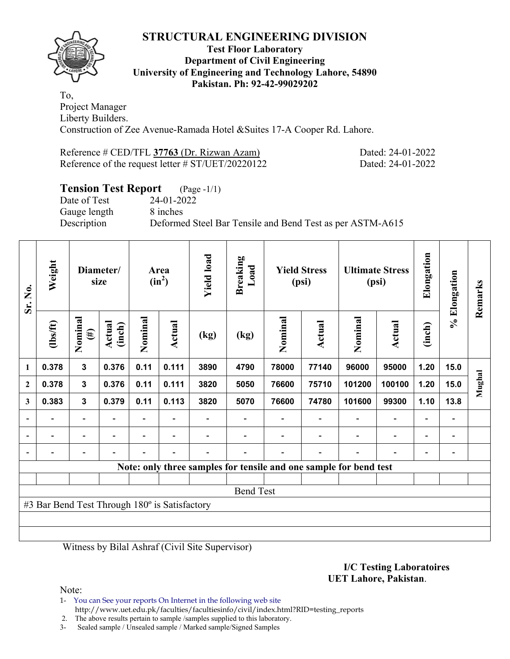

### **Test Floor Laboratory Department of Civil Engineering University of Engineering and Technology Lahore, 54890 Pakistan. Ph: 92-42-99029202**

To, Project Manager Liberty Builders. Construction of Zee Avenue-Ramada Hotel &Suites 17-A Cooper Rd. Lahore.

| Reference # CED/TFL 37763 (Dr. Rizwan Azam)          |  |
|------------------------------------------------------|--|
| Reference of the request letter $\# ST/UET/20220122$ |  |

Dated: 24-01-2022 Dated: 24-01-2022

# **Tension Test Report** (Page -1/1)

Date of Test 24-01-2022 Gauge length 8 inches

Description Deformed Steel Bar Tensile and Bend Test as per ASTM-A615

| Sr. No.                  | Weight                                        |                                        | Diameter/<br>size |                          | Area<br>$(in^2)$         | <b>Yield load</b>        | <b>Breaking</b><br>Load  |         | <b>Yield Stress</b><br>(psi)                                      |                          | <b>Ultimate Stress</b><br>(psi) | Elongation               | % Elongation             | Remarks |
|--------------------------|-----------------------------------------------|----------------------------------------|-------------------|--------------------------|--------------------------|--------------------------|--------------------------|---------|-------------------------------------------------------------------|--------------------------|---------------------------------|--------------------------|--------------------------|---------|
|                          | (1bs/ft)                                      | Nominal<br>$(\#)$                      | Actual<br>(inch)  | Nominal                  | Actual                   | (kg)                     | (kg)                     | Nominal | <b>Actual</b>                                                     | Nominal                  | Actual                          | (inch)                   |                          |         |
| 1                        | 0.378                                         | 3                                      | 0.376             | 0.11                     | 0.111                    | 3890                     | 4790                     | 78000   | 77140                                                             | 96000                    | 95000                           | 1.20                     | 15.0                     |         |
| $\mathbf{2}$             | 0.378                                         | $\mathbf{3}$                           | 0.376             | 0.11                     | 0.111                    | 3820                     | 5050                     | 76600   | 75710                                                             | 101200                   | 100100                          | 1.20                     | 15.0                     | Mughal  |
| 3                        | 0.383                                         | $\mathbf{3}$<br>0.379<br>0.11<br>0.113 |                   |                          |                          | 3820                     | 5070                     | 76600   | 74780                                                             | 101600                   | 99300                           | 1.10                     | 13.8                     |         |
| $\overline{\phantom{a}}$ |                                               | $\overline{\phantom{0}}$               | $\blacksquare$    | $\overline{\phantom{a}}$ | $\blacksquare$           |                          |                          |         | $\overline{\phantom{a}}$                                          | $\blacksquare$           | $\overline{a}$                  | $\overline{\phantom{a}}$ | $\overline{\phantom{a}}$ |         |
|                          | $\blacksquare$                                | $\overline{\phantom{0}}$               | $\blacksquare$    | $\overline{\phantom{a}}$ | $\overline{\phantom{a}}$ |                          |                          |         | $\blacksquare$                                                    | $\overline{\phantom{0}}$ | $\qquad \qquad \blacksquare$    | $\overline{\phantom{a}}$ | $\blacksquare$           |         |
|                          |                                               | $\overline{\phantom{0}}$               |                   | $\overline{\phantom{0}}$ | $\overline{\phantom{a}}$ | $\overline{\phantom{0}}$ | $\overline{\phantom{0}}$ |         | $\overline{\phantom{0}}$                                          | $\overline{\phantom{0}}$ | $\overline{\phantom{0}}$        | $\overline{\phantom{0}}$ | $\blacksquare$           |         |
|                          |                                               |                                        |                   |                          |                          |                          |                          |         | Note: only three samples for tensile and one sample for bend test |                          |                                 |                          |                          |         |
|                          |                                               |                                        |                   |                          |                          |                          |                          |         |                                                                   |                          |                                 |                          |                          |         |
|                          |                                               |                                        |                   |                          |                          |                          | <b>Bend Test</b>         |         |                                                                   |                          |                                 |                          |                          |         |
|                          | #3 Bar Bend Test Through 180° is Satisfactory |                                        |                   |                          |                          |                          |                          |         |                                                                   |                          |                                 |                          |                          |         |
|                          |                                               |                                        |                   |                          |                          |                          |                          |         |                                                                   |                          |                                 |                          |                          |         |
|                          |                                               |                                        |                   |                          |                          |                          |                          |         |                                                                   |                          |                                 |                          |                          |         |

Witness by Bilal Ashraf (Civil Site Supervisor)

**I/C Testing Laboratoires UET Lahore, Pakistan**.

Note:

1- You can See your reports On Internet in the following web site http://www.uet.edu.pk/faculties/facultiesinfo/civil/index.html?RID=testing\_reports

2. The above results pertain to sample /samples supplied to this laboratory.